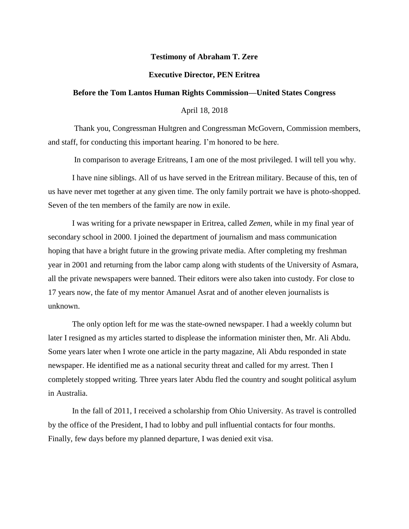## **Testimony of Abraham T. Zere**

## **Executive Director, PEN Eritrea**

## **Before the Tom Lantos Human Rights Commission—United States Congress**

April 18, 2018

Thank you, Congressman Hultgren and Congressman McGovern, Commission members, and staff, for conducting this important hearing. I'm honored to be here.

In comparison to average Eritreans, I am one of the most privileged. I will tell you why.

I have nine siblings. All of us have served in the Eritrean military. Because of this, ten of us have never met together at any given time. The only family portrait we have is photo-shopped. Seven of the ten members of the family are now in exile.

I was writing for a private newspaper in Eritrea, called *Zemen*, while in my final year of secondary school in 2000. I joined the department of journalism and mass communication hoping that have a bright future in the growing private media. After completing my freshman year in 2001 and returning from the labor camp along with students of the University of Asmara, all the private newspapers were banned. Their editors were also taken into custody. For close to 17 years now, the fate of my mentor Amanuel Asrat and of another eleven journalists is unknown.

The only option left for me was the state-owned newspaper. I had a weekly column but later I resigned as my articles started to displease the information minister then, Mr. Ali Abdu. Some years later when I wrote one article in the party magazine, Ali Abdu responded in state newspaper. He identified me as a national security threat and called for my arrest. Then I completely stopped writing. Three years later Abdu fled the country and sought political asylum in Australia.

In the fall of 2011, I received a scholarship from Ohio University. As travel is controlled by the office of the President, I had to lobby and pull influential contacts for four months. Finally, few days before my planned departure, I was denied exit visa.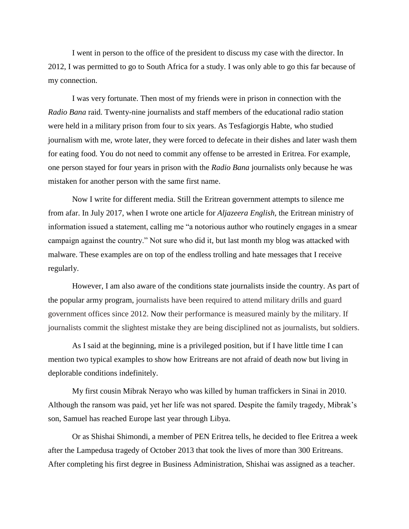I went in person to the office of the president to discuss my case with the director. In 2012, I was permitted to go to South Africa for a study. I was only able to go this far because of my connection.

I was very fortunate. Then most of my friends were in prison in connection with the *Radio Bana* raid. Twenty-nine journalists and staff members of the educational radio station were held in a military prison from four to six years. As Tesfagiorgis Habte, who studied journalism with me, wrote later, they were forced to defecate in their dishes and later wash them for eating food. You do not need to commit any offense to be arrested in Eritrea. For example, one person stayed for four years in prison with the *Radio Bana* journalists only because he was mistaken for another person with the same first name.

Now I write for different media. Still the Eritrean government attempts to silence me from afar. In July 2017, when I wrote one article for *Aljazeera English,* the Eritrean ministry of information issued a statement, calling me "a notorious author who routinely engages in a smear campaign against the country." Not sure who did it, but last month my blog was attacked with malware. These examples are on top of the endless trolling and hate messages that I receive regularly.

However, I am also aware of the conditions state journalists inside the country. As part of the popular army program, journalists have been required to attend military drills and guard government offices since 2012. Now their performance is measured mainly by the military. If journalists commit the slightest mistake they are being disciplined not as journalists, but soldiers.

As I said at the beginning, mine is a privileged position, but if I have little time I can mention two typical examples to show how Eritreans are not afraid of death now but living in deplorable conditions indefinitely.

My first cousin Mibrak Nerayo who was killed by human traffickers in Sinai in 2010. Although the ransom was paid, yet her life was not spared. Despite the family tragedy, Mibrak's son, Samuel has reached Europe last year through Libya.

Or as Shishai Shimondi, a member of PEN Eritrea tells, he decided to flee Eritrea a week after the Lampedusa tragedy of October 2013 that took the lives of more than 300 Eritreans. After completing his first degree in Business Administration, Shishai was assigned as a teacher.